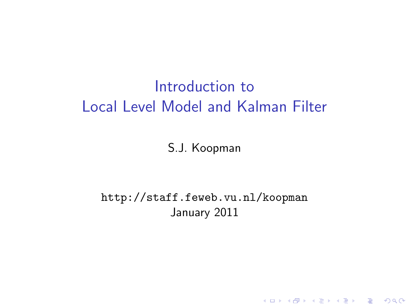# Introduction to Local Level Model and Kalman Filter

S.J. Koopman

http://staff.feweb.vu.nl/koopman January 2011

K ロ ▶ K @ ▶ K 할 > K 할 > 1 할 > 1 이익어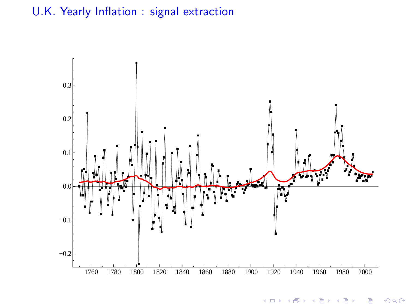### U.K. Yearly Inflation : signal extraction



 $2Q$ **K ロ ▶ K 御 ▶ K 唐** Þ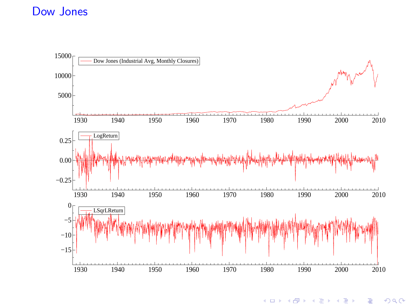#### Dow Jones



つくで  $\leftarrow$   $\Box$  $\rightarrow$   $\oplus$   $\rightarrow$   $\rightarrow$   $\oplus$ Þ Þ ×.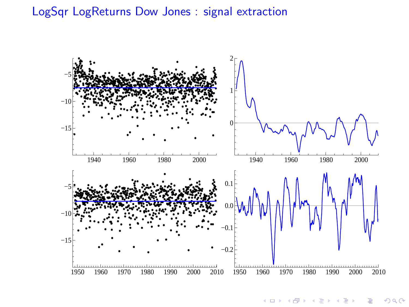#### LogSqr LogReturns Dow Jones : signal extraction



 $2Q$ **Kロト K型ト**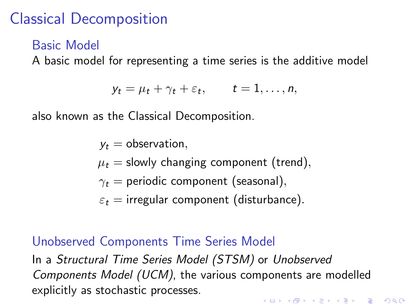# Classical Decomposition

### Basic Model

A basic model for representing a time series is the additive model

$$
y_t = \mu_t + \gamma_t + \varepsilon_t, \qquad t = 1, \ldots, n,
$$

also known as the Classical Decomposition.

 $v_t =$  observation,  $\mu_t$  = slowly changing component (trend),  $\gamma_t$  = periodic component (seasonal),  $\varepsilon_t$  = irregular component (disturbance).

### Unobserved Components Time Series Model

In a Structural Time Series Model (STSM) or Unobserved Components Model (UCM), the various components are modelled explicitly as stochastic processes.4 D > 4 P + 4 B + 4 B + B + 9 Q O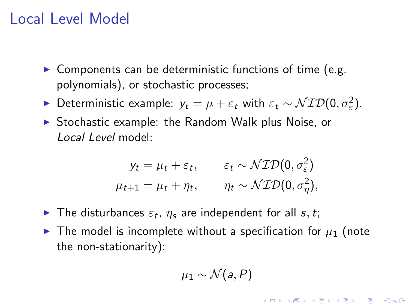## Local Level Model

- $\triangleright$  Components can be deterministic functions of time (e.g. polynomials), or stochastic processes;
- ► Deterministic example:  $y_t = \mu + \varepsilon_t$  with  $\varepsilon_t \sim \mathcal{NID}(0, \sigma_{\varepsilon}^2)$ .
- $\triangleright$  Stochastic example: the Random Walk plus Noise, or Local Level model:

$$
y_t = \mu_t + \varepsilon_t, \qquad \varepsilon_t \sim \mathcal{NID}(0, \sigma_{\varepsilon}^2)
$$
  

$$
\mu_{t+1} = \mu_t + \eta_t, \qquad \eta_t \sim \mathcal{NID}(0, \sigma_{\eta}^2),
$$

- The disturbances  $\varepsilon_t$ ,  $\eta_s$  are independent for all  $s, t$ ;
- $\blacktriangleright$  The model is incomplete without a specification for  $\mu_1$  (note the non-stationarity):

$$
\mu_1 \sim \mathcal{N}(a, P)
$$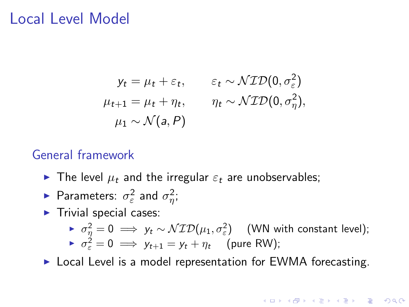### Local Level Model

$$
y_t = \mu_t + \varepsilon_t, \qquad \varepsilon_t \sim \mathcal{NID}(0, \sigma_{\varepsilon}^2)
$$
  

$$
\mu_{t+1} = \mu_t + \eta_t, \qquad \eta_t \sim \mathcal{NID}(0, \sigma_{\eta}^2),
$$
  

$$
\mu_1 \sim \mathcal{N}(a, P)
$$

### General framework

- The level  $\mu_t$  and the irregular  $\varepsilon_t$  are unobservables;
- ► Parameters:  $\sigma_{\varepsilon}^2$  and  $\sigma_{\eta}^2$ ;
- $\blacktriangleright$  Trivial special cases:

► 
$$
\sigma_{\eta}^2 = 0 \implies y_t \sim \mathcal{NID}(\mu_1, \sigma_{\varepsilon}^2)
$$
 (WN with constant level);  
\n▶  $\sigma_{\varepsilon}^2 = 0 \implies y_{t+1} = y_t + \eta_t$  (pure RW);

 $\triangleright$  Local Level is a model representation for EWMA forecasting.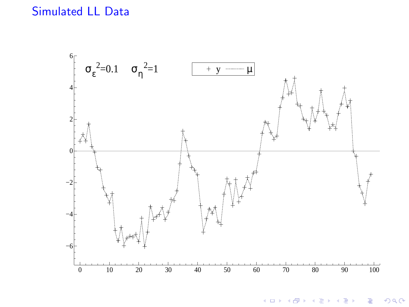

K ロ ト K 個 ト K 差 ト K 差 ト 重  $299$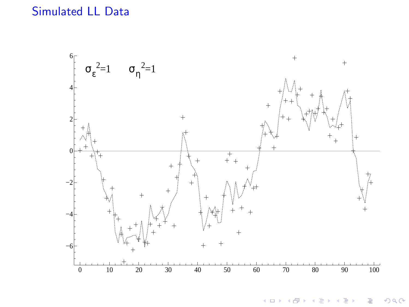

(ロ) (個) (差) 重 È  $299$  $\sim$  4  $\,$ п.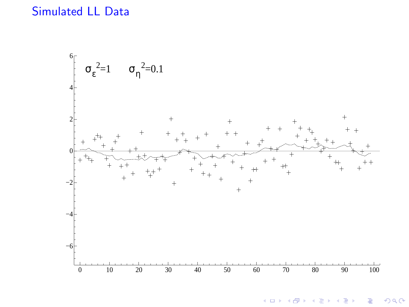

K ロ ト K 個 ト K 差 ト K 差 ト È  $299$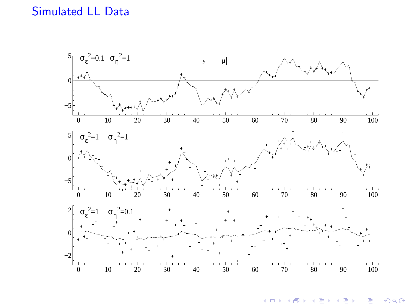

**K ロ ト K 御 ト K 差 ト** È  $299$ ÷.  $\sim$  41 **In**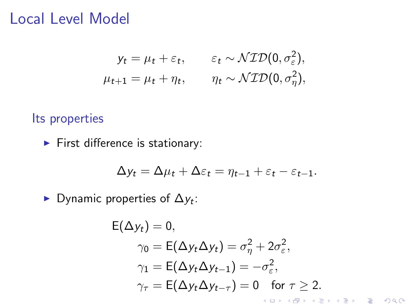### Local Level Model

$$
y_t = \mu_t + \varepsilon_t, \qquad \varepsilon_t \sim \mathcal{NID}(0, \sigma_{\varepsilon}^2),
$$
  

$$
\mu_{t+1} = \mu_t + \eta_t, \qquad \eta_t \sim \mathcal{NID}(0, \sigma_{\eta}^2),
$$

Its properties

 $\blacktriangleright$  First difference is stationary:

$$
\Delta y_t = \Delta \mu_t + \Delta \varepsilon_t = \eta_{t-1} + \varepsilon_t - \varepsilon_{t-1}.
$$

▶ Dynamic properties of  $\Delta y_t$ :

$$
E(\Delta y_t) = 0,
$$
  
\n
$$
\gamma_0 = E(\Delta y_t \Delta y_t) = \sigma_\eta^2 + 2\sigma_\varepsilon^2,
$$
  
\n
$$
\gamma_1 = E(\Delta y_t \Delta y_{t-1}) = -\sigma_\varepsilon^2,
$$
  
\n
$$
\gamma_\tau = E(\Delta y_t \Delta y_{t-\tau}) = 0 \text{ for } \tau \ge 2.
$$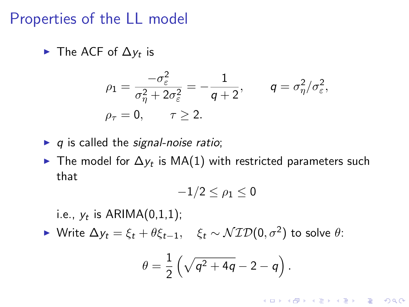### Properties of the LL model

► The ACF of  $\Delta y_t$  is

$$
\rho_1 = \frac{-\sigma_{\varepsilon}^2}{\sigma_{\eta}^2 + 2\sigma_{\varepsilon}^2} = -\frac{1}{q+2}, \qquad q = \sigma_{\eta}^2/\sigma_{\varepsilon}^2,
$$
  

$$
\rho_{\tau} = 0, \qquad \tau \ge 2.
$$

- $\blacktriangleright$  q is called the signal-noise ratio;
- ► The model for  $\Delta y_t$  is MA(1) with restricted parameters such that

$$
-1/2\leq\rho_1\leq0
$$

i.e.,  $y_t$  is  $ARIMA(0,1,1)$ ;

► Write  $\Delta y_t = \xi_t + \theta \xi_{t-1}, \quad \xi_t \sim \mathcal{NID}(0, \sigma^2)$  to solve  $\theta$ :

$$
\theta = \frac{1}{2} \left( \sqrt{q^2 + 4q} - 2 - q \right).
$$

**K ロ ▶ K @ ▶ K 할 X X 할 X 및 할 X X Q Q O**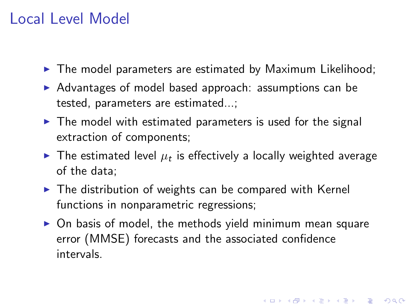## Local Level Model

- $\blacktriangleright$  The model parameters are estimated by Maximum Likelihood;
- $\triangleright$  Advantages of model based approach: assumptions can be tested, parameters are estimated...;
- $\triangleright$  The model with estimated parameters is used for the signal extraction of components;
- $\blacktriangleright$  The estimated level  $\mu_t$  is effectively a locally weighted average of the data;
- $\blacktriangleright$  The distribution of weights can be compared with Kernel functions in nonparametric regressions;
- $\triangleright$  On basis of model, the methods yield minimum mean square error (MMSE) forecasts and the associated confidence intervals.

4 D > 4 P + 4 B + 4 B + B + 9 Q O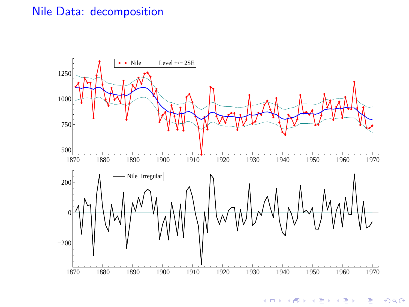#### Nile Data: decomposition



**K ロ ⊁ K 倒 ≯ K 差**  $2Q$ Þ ŧ ×.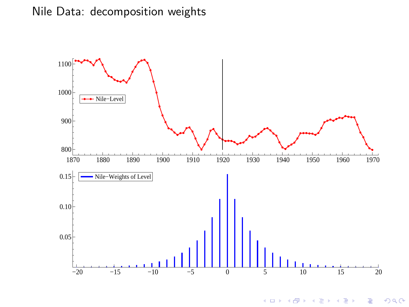### Nile Data: decomposition weights



**K ロ ト K 御 ト K 差 ト**  $\Rightarrow$  $2Q$  $\sim$ ŧ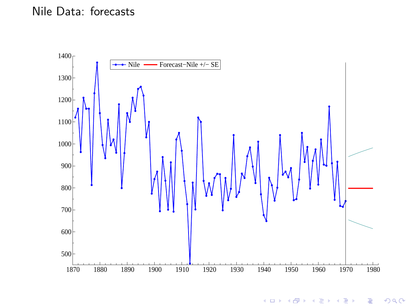#### Nile Data: forecasts



つくで **K ロ ▶ K 伊 ▶ K 舌** Þ ŧ ×.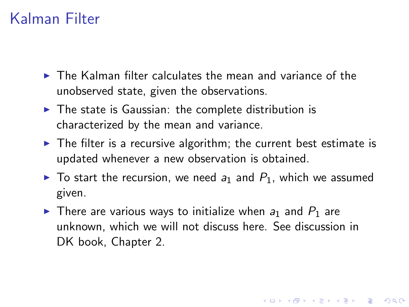## Kalman Filter

- $\triangleright$  The Kalman filter calculates the mean and variance of the unobserved state, given the observations.
- $\triangleright$  The state is Gaussian: the complete distribution is characterized by the mean and variance.
- $\triangleright$  The filter is a recursive algorithm; the current best estimate is updated whenever a new observation is obtained.
- $\triangleright$  To start the recursion, we need  $a_1$  and  $P_1$ , which we assumed given.
- $\triangleright$  There are various ways to initialize when  $a_1$  and  $P_1$  are unknown, which we will not discuss here. See discussion in DK book, Chapter 2.

4 D > 4 P + 4 B + 4 B + B + 9 Q O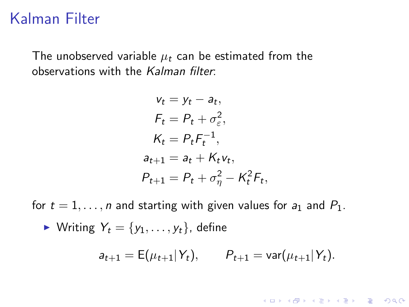## Kalman Filter

The unobserved variable  $\mu_t$  can be estimated from the observations with the Kalman filter:

$$
v_t = y_t - a_t,
$$
  
\n
$$
F_t = P_t + \sigma_\varepsilon^2,
$$
  
\n
$$
K_t = P_t F_t^{-1},
$$
  
\n
$$
a_{t+1} = a_t + K_t v_t,
$$
  
\n
$$
P_{t+1} = P_t + \sigma_\eta^2 - K_t^2 F_t,
$$

for  $t = 1, \ldots, n$  and starting with given values for  $a_1$  and  $P_1$ .

$$
\blacktriangleright
$$
 Writing  $Y_t = \{y_1, \ldots, y_t\}$ , define

$$
a_{t+1} = \mathsf{E}(\mu_{t+1} | Y_t), \qquad P_{t+1} = \text{var}(\mu_{t+1} | Y_t).
$$

KO K K Ø K K I K I LA LI I LA K DR OK LI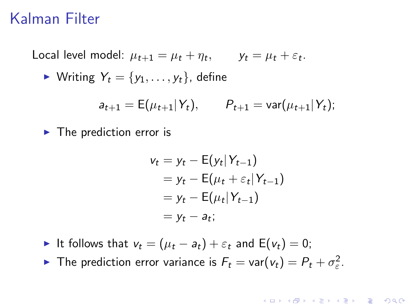## Kalman Filter

Local level model:  $\mu_{t+1} = \mu_t + \eta_t$ ,  $y_t = \mu_t + \varepsilon_t$ .

$$
\blacktriangleright
$$
 Writing  $Y_t = \{y_1, \ldots, y_t\}$ , define

$$
a_{t+1} = \mathsf{E}(\mu_{t+1} | Y_t), \qquad P_{t+1} = \text{var}(\mu_{t+1} | Y_t);
$$

 $\blacktriangleright$  The prediction error is

$$
v_t = y_t - E(y_t|Y_{t-1})
$$
  
=  $y_t - E(\mu_t + \varepsilon_t|Y_{t-1})$   
=  $y_t - E(\mu_t|Y_{t-1})$   
=  $y_t - a_t$ ;

4 D > 4 P + 4 B + 4 B + B + 9 Q O

- If follows that  $v_t = (\mu_t a_t) + \varepsilon_t$  and  $E(v_t) = 0$ ;
- The prediction error variance is  $F_t = \text{var}(v_t) = P_t + \sigma_{\varepsilon}^2$ .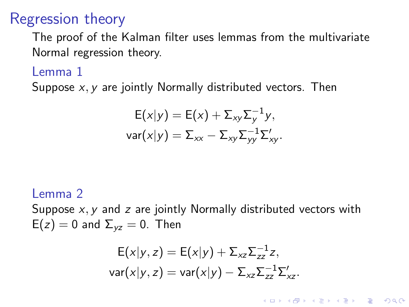## Regression theory

The proof of the Kalman filter uses lemmas from the multivariate Normal regression theory.

### Lemma 1

Suppose  $x, y$  are jointly Normally distributed vectors. Then

$$
E(x|y) = E(x) + \Sigma_{xy} \Sigma_y^{-1} y,
$$
  
var $(x|y) = \Sigma_{xx} - \Sigma_{xy} \Sigma_{yy}^{-1} \Sigma_{xy}'.$ 

#### Lemma 2

Suppose  $x, y$  and  $z$  are jointly Normally distributed vectors with  $E(z) = 0$  and  $\Sigma_{vz} = 0$ . Then

$$
E(x|y, z) = E(x|y) + \Sigma_{xz} \Sigma_{zz}^{-1} z,
$$
  
var(x|y, z) = var(x|y) - \Sigma\_{xz} \Sigma\_{zz}^{-1} \Sigma\_{xz}.

**KORK ERKER ADAM ADA**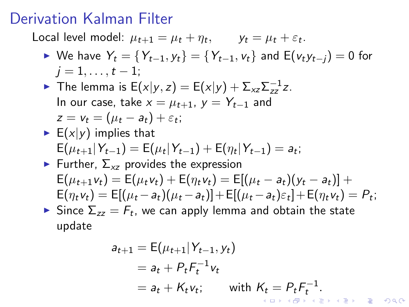## Derivation Kalman Filter

Local level model:  $\mu_{t+1} = \mu_t + \eta_t$ ,  $y_t = \mu_t + \varepsilon_t$ .

- ► We have  $Y_t = \{Y_{t-1}, y_t\} = \{Y_{t-1}, v_t\}$  and  $E(v_t y_{t-1}) = 0$  for  $j = 1, \ldots, t - 1;$
- ► The lemma is  $E(x|y, z) = E(x|y) + \sum_{xz} \sum_{zz}^{-1} z$ . In our case, take  $x = \mu_{t+1}$ ,  $y = Y_{t-1}$  and  $z = v_t = (\mu_t - a_t) + \varepsilon_t;$
- $\blacktriangleright$  E(x|y) implies that  $E(\mu_{t+1}|Y_{t-1}) = E(\mu_t|Y_{t-1}) + E(\eta_t|Y_{t-1}) = a_t;$

# Further,  $\Sigma_{xz}$  provides the expression  $E(\mu_{t+1}v_t) = E(\mu_t v_t) + E(\eta_t v_t) = E[(\mu_t - a_t)(y_t - a_t)] +$  $E(\eta_t v_t) = E[(\mu_t - a_t)(\mu_t - a_t)] + E[(\mu_t - a_t)\varepsilon_t] + E(\eta_t v_t) = P_t;$

 $\blacktriangleright$  Since  $\Sigma_{zz} = F_t$ , we can apply lemma and obtain the state update

$$
a_{t+1} = E(\mu_{t+1} | Y_{t-1}, y_t)
$$
  
=  $a_t + P_t F_t^{-1} v_t$   
=  $a_t + K_t v_t$ ; with  $K_t = P_t F_t^{-1}$ .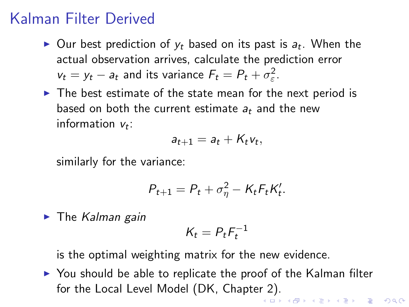## Kalman Filter Derived

- $\blacktriangleright$  Our best prediction of  $y_t$  based on its past is  $a_t$ . When the actual observation arrives, calculate the prediction error  $v_t = y_t - a_t$  and its variance  $F_t = P_t + \sigma_{\varepsilon}^2$ .
- $\triangleright$  The best estimate of the state mean for the next period is based on both the current estimate  $a_t$  and the new information  $v_t$ :

$$
a_{t+1}=a_t+K_tv_t,
$$

similarly for the variance:

$$
P_{t+1} = P_t + \sigma_{\eta}^2 - K_t F_t K_t'.
$$

 $\blacktriangleright$  The Kalman gain

$$
K_t = P_t F_t^{-1}
$$

is the optimal weighting matrix for the new evidence.

<span id="page-22-0"></span> $\triangleright$  You should be able to replicate the proof of the Kalman filter for the Local Level Model (DK, Chapter 2).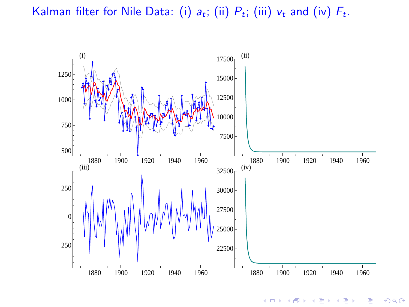Kalman filter for Nile Data: (i)  $a_t$ ; (ii)  $P_t$ ; (iii)  $v_t$  and (iv)  $F_t$ .



**K ロ ▶ K 伊 ▶ K** B Ξ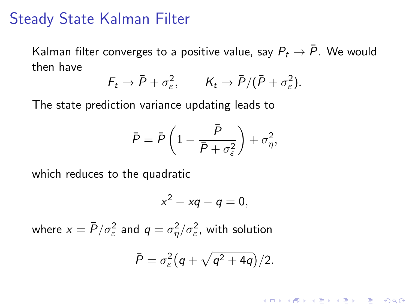### Steady State Kalman Filter

Kalman filter converges to a positive value, say  $P_t \to \bar{P}$ . We would then have

$$
F_t \to \bar{P} + \sigma_{\varepsilon}^2, \qquad K_t \to \bar{P}/(\bar{P} + \sigma_{\varepsilon}^2).
$$

The state prediction variance updating leads to

$$
\bar{P} = \bar{P}\left(1 - \frac{\bar{P}}{\bar{P} + \sigma_{\varepsilon}^2}\right) + \sigma_{\eta}^2,
$$

which reduces to the quadratic

$$
x^2-xq-q=0,
$$

where  $x=\bar{P}/\sigma_\varepsilon^2$  and  $q=\sigma_\eta^2/\sigma_\varepsilon^2$ , with solution

$$
\bar{P}=\sigma_{\varepsilon}^2\bigl(q+\sqrt{q^2+4q}\bigr)/2.
$$

**K ロ ▶ K @ ▶ K 할 X X 할 X 및 할 X X Q Q O**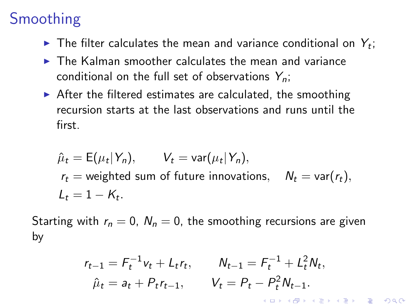# Smoothing

- $\blacktriangleright$  The filter calculates the mean and variance conditional on  $Y_t$ ;
- $\triangleright$  The Kalman smoother calculates the mean and variance conditional on the full set of observations  $Y_n$ ;
- $\triangleright$  After the filtered estimates are calculated, the smoothing recursion starts at the last observations and runs until the first.

$$
\hat{\mu}_t = E(\mu_t | Y_n), \qquad V_t = \text{var}(\mu_t | Y_n),
$$
\n
$$
r_t = \text{weighted sum of future innovations}, \quad N_t = \text{var}(r_t),
$$
\n
$$
L_t = 1 - K_t.
$$

Starting with  $r_n = 0$ ,  $N_n = 0$ , the smoothing recursions are given by

$$
r_{t-1} = F_t^{-1}v_t + L_t r_t, \qquad N_{t-1} = F_t^{-1} + L_t^2 N_t,
$$
  
\n
$$
\hat{\mu}_t = a_t + P_t r_{t-1}, \qquad V_t = P_t - P_t^2 N_{t-1}.
$$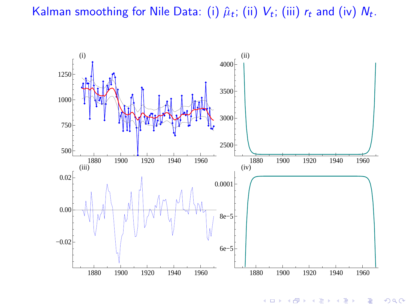### Kalman smoothing for Nile Data: (i)  $\hat{\mu}_t$ ; (ii)  $V_t$ ; (iii)  $r_t$  and (iv)  $N_t$ .



 $2Q$  $\left\{ \left\vert \left\langle \left\langle \left\vert \Phi\right\rangle \right\rangle \right\vert \right\} \right\}$ 4日下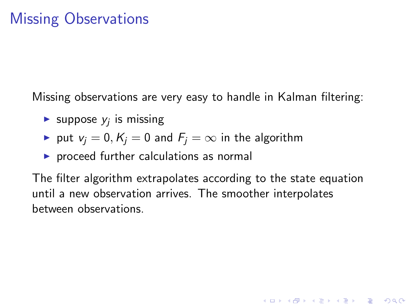Missing observations are very easy to handle in Kalman filtering:

- Suppose  $y_j$  is missing
- ▶ put  $v_i = 0, K_i = 0$  and  $F_i = \infty$  in the algorithm
- $\triangleright$  proceed further calculations as normal

The filter algorithm extrapolates according to the state equation until a new observation arrives. The smoother interpolates between observations.

**K ロ ▶ K @ ▶ K 할 X X 할 X 및 할 X X Q Q O**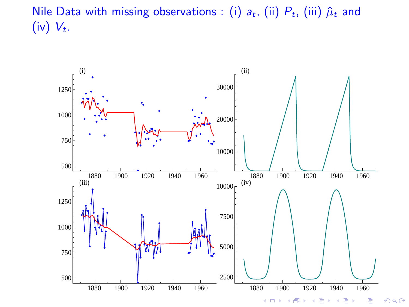Nile Data with missing observations : (i)  $a_t$ , (ii)  $P_t$ , (iii)  $\hat{\mu}_t$  and (iv)  $V_t$ .



 $2Q$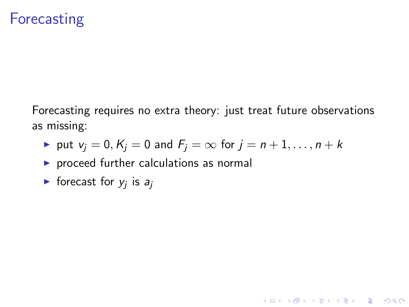## **Forecasting**

Forecasting requires no extra theory: just treat future observations as missing:

K ロ ▶ K @ ▶ K 할 > K 할 > 1 할 > 1 이익어

- ▶ put  $v_i = 0, K_i = 0$  and  $F_i = \infty$  for  $j = n+1, \ldots, n+k$
- $\triangleright$  proceed further calculations as normal
- $\blacktriangleright$  forecast for  $y_j$  is  $a_j$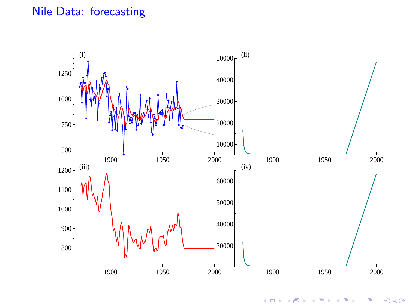### Nile Data: forecasting



つくで  $\leftarrow$   $\Box$  $\overline{AB}$ E Þ ŧ ×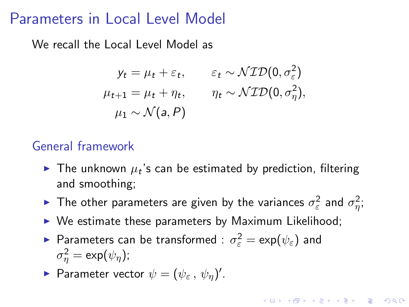### Parameters in Local Level Model

We recall the Local Level Model as

$$
y_t = \mu_t + \varepsilon_t, \qquad \varepsilon_t \sim \mathcal{NID}(0, \sigma_{\varepsilon}^2)
$$
  

$$
\mu_{t+1} = \mu_t + \eta_t, \qquad \eta_t \sim \mathcal{NID}(0, \sigma_{\eta}^2),
$$
  

$$
\mu_1 \sim \mathcal{N}(a, P)
$$

### General framework

- $\blacktriangleright$  The unknown  $\mu_t$ 's can be estimated by prediction, filtering and smoothing;
- ► The other parameters are given by the variances  $\sigma_{\varepsilon}^2$  and  $\sigma_{\eta}^2$ ;

**AD A 4 4 4 5 A 5 A 5 A 4 D A 4 D A 4 P A 4 5 A 4 5 A 5 A 4 A 4 A 4 A** 

- $\triangleright$  We estimate these parameters by Maximum Likelihood;
- ► Parameters can be transformed :  $\sigma_{\varepsilon}^2 = \exp(\psi_{\varepsilon})$  and  $\sigma_{\eta}^2 = \exp(\psi_{\eta});$
- Parameter vector  $\psi = (\psi_{\varepsilon}, \psi_{\eta})'$ .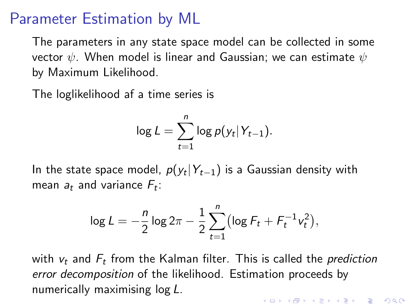### Parameter Estimation by ML

The parameters in any state space model can be collected in some vector  $\psi$ . When model is linear and Gaussian; we can estimate  $\psi$ by Maximum Likelihood.

The loglikelihood af a time series is

$$
\log L = \sum_{t=1}^n \log p(y_t|Y_{t-1}).
$$

In the state space model,  $p(y_t | Y_{t-1})$  is a Gaussian density with mean  $a_t$  and variance  $F_t$ :

$$
\log L = -\frac{n}{2}\log 2\pi - \frac{1}{2}\sum_{t=1}^{n}\bigl(\log F_t + F_t^{-1}v_t^2\bigr),
$$

with  $v_t$  and  $F_t$  from the Kalman filter. This is called the *prediction* error decomposition of the likelihood. Estimation proceeds by numerically maximising log L.KID KA KERKER KID KO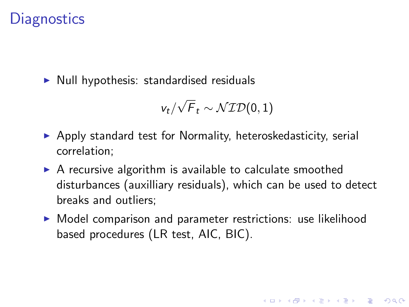## **Diagnostics**

 $\triangleright$  Null hypothesis: standardised residuals

$$
v_t/\sqrt{F}_t \sim \mathcal{NID}(0,1)
$$

- $\triangleright$  Apply standard test for Normality, heteroskedasticity, serial correlation;
- $\triangleright$  A recursive algorithm is available to calculate smoothed disturbances (auxilliary residuals), which can be used to detect breaks and outliers;
- $\triangleright$  Model comparison and parameter restrictions: use likelihood based procedures (LR test, AIC, BIC).

4 D > 4 P + 4 B + 4 B + B + 9 Q O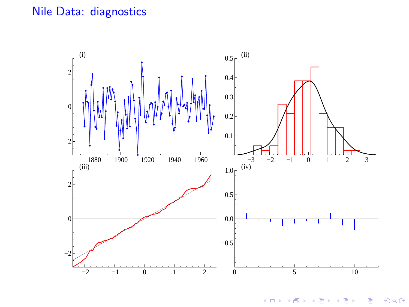### Nile Data: diagnostics



 $2Q$ (ロ) ( d ) × Ξ Ξ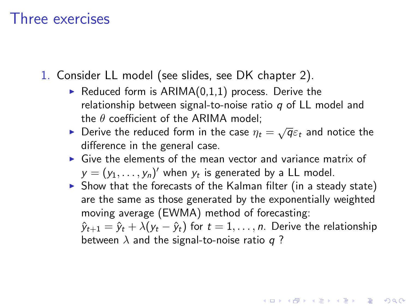### Three exercises

1. Consider LL model (see slides, see DK chapter 2).

- Reduced form is  $ARIMA(0,1,1)$  process. Derive the relationship between signal-to-noise ratio  $q$  of LL model and the  $\theta$  coefficient of the ARIMA model:
- **Derive the reduced form in the case**  $\eta_t = \sqrt{q} \varepsilon_t$  **and notice the** difference in the general case.
- $\triangleright$  Give the elements of the mean vector and variance matrix of  $y = (y_1, \ldots, y_n)'$  when  $y_t$  is generated by a LL model.
- $\triangleright$  Show that the forecasts of the Kalman filter (in a steady state) are the same as those generated by the exponentially weighted moving average (EWMA) method of forecasting:

 $\hat{y}_{t+1} = \hat{y}_t + \lambda (y_t - \hat{y}_t)$  for  $t = 1, \ldots, n$ . Derive the relationship between  $\lambda$  and the signal-to-noise ratio q?

**KORKAR KERKER E VOOR**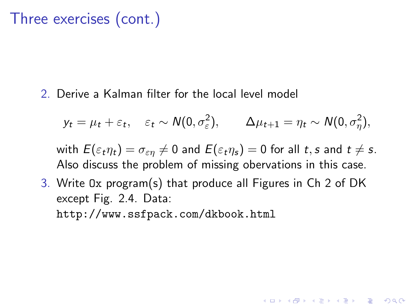## Three exercises (cont.)

2. Derive a Kalman filter for the local level model

$$
y_t = \mu_t + \varepsilon_t, \quad \varepsilon_t \sim N(0, \sigma_{\varepsilon}^2), \qquad \Delta \mu_{t+1} = \eta_t \sim N(0, \sigma_{\eta}^2),
$$

with  $E(\varepsilon_t \eta_t) = \sigma_{\varepsilon n} \neq 0$  and  $E(\varepsilon_t \eta_s) = 0$  for all t, s and  $t \neq s$ . Also discuss the problem of missing obervations in this case.

**KORKAR KERKER E VOOR** 

3. Write Ox program(s) that produce all Figures in Ch 2 of DK except Fig. 2.4. Data: http://www.ssfpack.com/dkbook.html